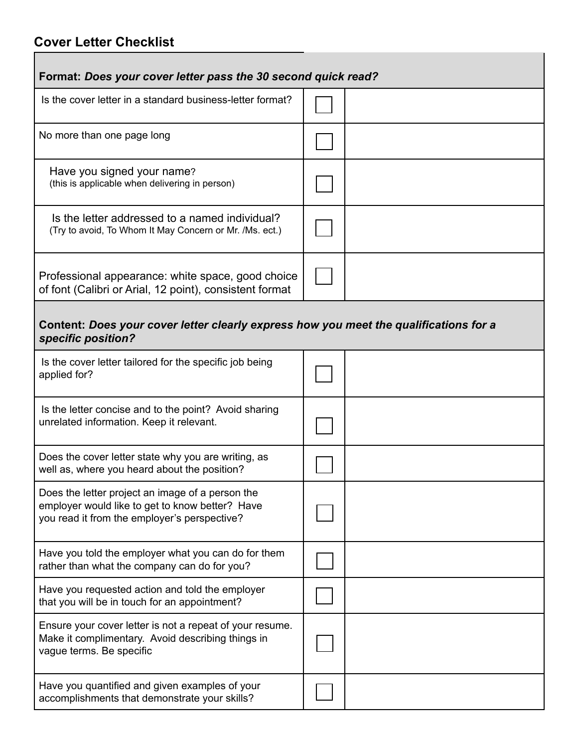## **Cover Letter Checklist**

п

| Format: Does your cover letter pass the 30 second quick read?                                                                                       |  |  |  |
|-----------------------------------------------------------------------------------------------------------------------------------------------------|--|--|--|
| Is the cover letter in a standard business-letter format?                                                                                           |  |  |  |
| No more than one page long                                                                                                                          |  |  |  |
| Have you signed your name?<br>(this is applicable when delivering in person)                                                                        |  |  |  |
| Is the letter addressed to a named individual?<br>(Try to avoid, To Whom It May Concern or Mr. /Ms. ect.)                                           |  |  |  |
| Professional appearance: white space, good choice<br>of font (Calibri or Arial, 12 point), consistent format                                        |  |  |  |
| Content: Does your cover letter clearly express how you meet the qualifications for a<br>specific position?                                         |  |  |  |
| Is the cover letter tailored for the specific job being<br>applied for?                                                                             |  |  |  |
| Is the letter concise and to the point? Avoid sharing<br>unrelated information. Keep it relevant.                                                   |  |  |  |
| Does the cover letter state why you are writing, as<br>well as, where you heard about the position?                                                 |  |  |  |
| Does the letter project an image of a person the<br>employer would like to get to know better? Have<br>you read it from the employer's perspective? |  |  |  |
| Have you told the employer what you can do for them<br>rather than what the company can do for you?                                                 |  |  |  |
| Have you requested action and told the employer<br>that you will be in touch for an appointment?                                                    |  |  |  |
| Ensure your cover letter is not a repeat of your resume.<br>Make it complimentary. Avoid describing things in<br>vague terms. Be specific           |  |  |  |
| Have you quantified and given examples of your<br>accomplishments that demonstrate your skills?                                                     |  |  |  |

Ï